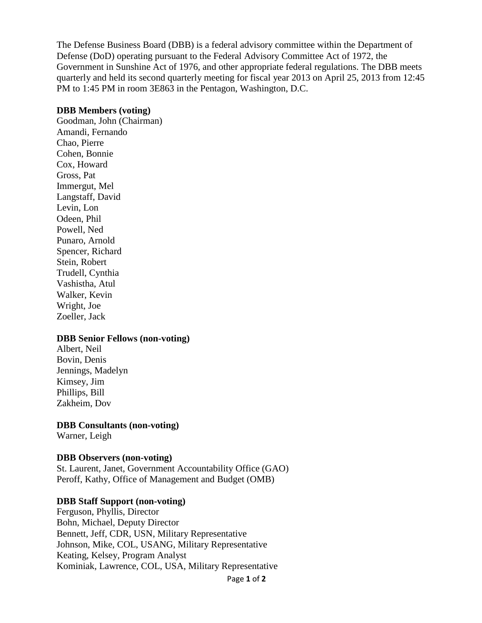The Defense Business Board (DBB) is a federal advisory committee within the Department of Defense (DoD) operating pursuant to the Federal Advisory Committee Act of 1972, the Government in Sunshine Act of 1976, and other appropriate federal regulations. The DBB meets quarterly and held its second quarterly meeting for fiscal year 2013 on April 25, 2013 from 12:45 PM to 1:45 PM in room 3E863 in the Pentagon, Washington, D.C.

#### **DBB Members (voting)**

Goodman, John (Chairman) Amandi, Fernando Chao, Pierre Cohen, Bonnie Cox, Howard Gross, Pat Immergut, Mel Langstaff, David Levin, Lon Odeen, Phil Powell, Ned Punaro, Arnold Spencer, Richard Stein, Robert Trudell, Cynthia Vashistha, Atul Walker, Kevin Wright, Joe Zoeller, Jack

## **DBB Senior Fellows (non-voting)**

Albert, Neil Bovin, Denis Jennings, Madelyn Kimsey, Jim Phillips, Bill Zakheim, Dov

**DBB Consultants (non-voting)**

Warner, Leigh

## **DBB Observers (non-voting)**

St. Laurent, Janet, Government Accountability Office (GAO) Peroff, Kathy, Office of Management and Budget (OMB)

## **DBB Staff Support (non-voting)**

Ferguson, Phyllis, Director Bohn, Michael, Deputy Director Bennett, Jeff, CDR, USN, Military Representative Johnson, Mike, COL, USANG, Military Representative Keating, Kelsey, Program Analyst Kominiak, Lawrence, COL, USA, Military Representative

Page **1** of **2**